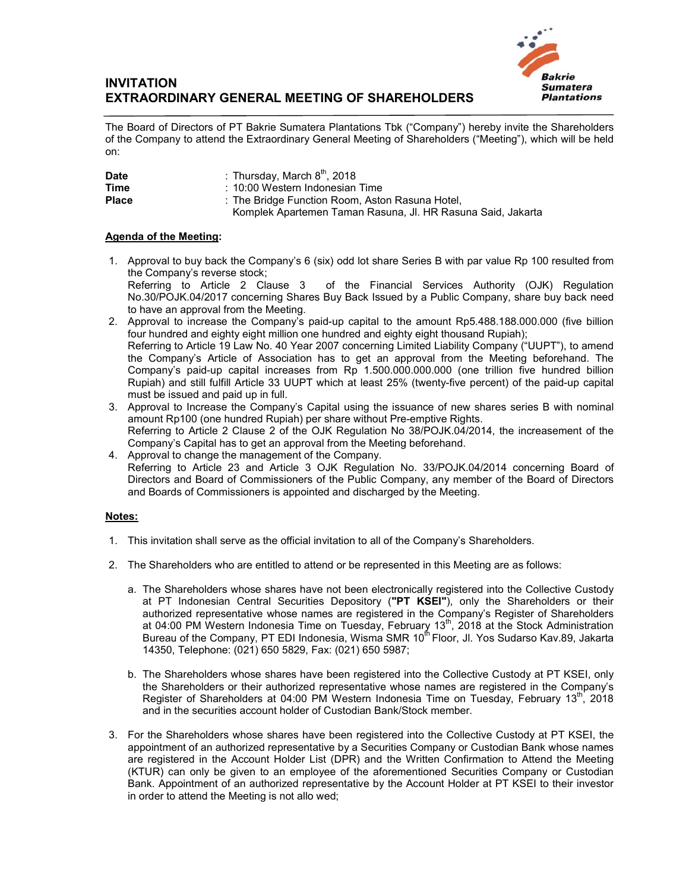

## **INVITATION EXTRAORDINARY GENERAL MEETING OF SHAREHOLDERS**

The Board of Directors of PT Bakrie Sumatera Plantations Tbk ("Company") hereby invite the Shareholders of the Company to attend the Extraordinary General Meeting of Shareholders ("Meeting"), which will be held on:

| <b>Date</b>  | : Thursday, March $8^{\text{th}}$ , 2018                    |
|--------------|-------------------------------------------------------------|
| <b>Time</b>  | : 10:00 Western Indonesian Time                             |
| <b>Place</b> | : The Bridge Function Room, Aston Rasuna Hotel,             |
|              | Komplek Apartemen Taman Rasuna, Jl. HR Rasuna Said, Jakarta |

## **Agenda of the Meeting:**

- 1. Approval to buy back the Company's 6 (six) odd lot share Series B with par value Rp 100 resulted from the Company's reverse stock; Referring to Article 2 Clause 3 of the Financial Services Authority (OJK) Regulation No.30/POJK.04/2017 concerning Shares Buy Back Issued by a Public Company, share buy back need to have an approval from the Meeting.
- 2. Approval to increase the Company's paid-up capital to the amount Rp5.488.188.000.000 (five billion four hundred and eighty eight million one hundred and eighty eight thousand Rupiah); Referring to Article 19 Law No. 40 Year 2007 concerning Limited Liability Company ("UUPT"), to amend the Company's Article of Association has to get an approval from the Meeting beforehand. The Company's paid-up capital increases from Rp 1.500.000.000.000 (one trillion five hundred billion Rupiah) and still fulfill Article 33 UUPT which at least 25% (twenty-five percent) of the paid-up capital must be issued and paid up in full.
- 3. Approval to Increase the Company's Capital using the issuance of new shares series B with nominal amount Rp100 (one hundred Rupiah) per share without Pre-emptive Rights. Referring to Article 2 Clause 2 of the OJK Regulation No 38/POJK.04/2014, the increasement of the Company's Capital has to get an approval from the Meeting beforehand.
- 4. Approval to change the management of the Company. Referring to Article 23 and Article 3 OJK Regulation No. 33/POJK.04/2014 concerning Board of Directors and Board of Commissioners of the Public Company, any member of the Board of Directors and Boards of Commissioners is appointed and discharged by the Meeting.

## **Notes:**

- 1. This invitation shall serve as the official invitation to all of the Company's Shareholders.
- 2. The Shareholders who are entitled to attend or be represented in this Meeting are as follows:
	- a. The Shareholders whose shares have not been electronically registered into the Collective Custody at PT Indonesian Central Securities Depository (**"PT KSEI"**), only the Shareholders or their authorized representative whose names are registered in the Company's Register of Shareholders at 04:00 PM Western Indonesia Time on Tuesday, February 13<sup>th</sup>, 2018 at the Stock Administration Bureau of the Company, PT EDI Indonesia, Wisma SMR 10<sup>th</sup> Floor, Jl. Yos Sudarso Kav.89, Jakarta 14350, Telephone: (021) 650 5829, Fax: (021) 650 5987;
	- b. The Shareholders whose shares have been registered into the Collective Custody at PT KSEI, only the Shareholders or their authorized representative whose names are registered in the Company's Register of Shareholders at 04:00 PM Western Indonesia Time on Tuesday, February 13<sup>th</sup>, 2018 and in the securities account holder of Custodian Bank/Stock member.
- 3. For the Shareholders whose shares have been registered into the Collective Custody at PT KSEI, the appointment of an authorized representative by a Securities Company or Custodian Bank whose names are registered in the Account Holder List (DPR) and the Written Confirmation to Attend the Meeting (KTUR) can only be given to an employee of the aforementioned Securities Company or Custodian Bank. Appointment of an authorized representative by the Account Holder at PT KSEI to their investor in order to attend the Meeting is not allo wed;